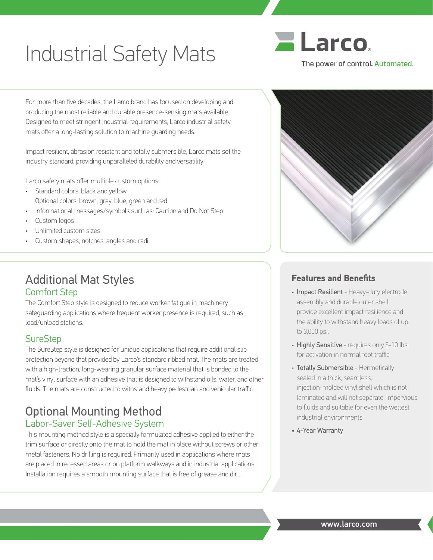# Industrial Safety Mats

For more than five decades, the Larco brand has focused on developing and producing the most reliable and durable presence-sensing mats available. Designed to meet stringent industrial requirements, Larco industrial safety mats offer a long-lasting solution to machine guarding needs.

Impact resilient, abrasion resistant and totally submersible, Larco mats set the industry standard, providing unparalleled durability and versatility.

Larco safety mats offer multiple custom options:

- Standard colors: black and yellow Optional colors: brown, gray, blue, green and red
- Informational messages/symbols such as: Caution and Do Not Step
- Custom logos
- Unlimited custom sizes
- Custom shapes, notches, angles and radii

# Additional Mat Styles Comfort Step

The Comfort Step style is designed to reduce worker fatigue in machinery safeguarding applications where frequent worker presence is required, such as load/unload stations.

## **SureStep**

The SureStep style is designed for unique applications that require additional slip protection beyond that provided by Larco's standard ribbed mat. The mats are treated with a high-traction, long-wearing granular surface material that is bonded to the mat's vinyl surface with an adhesive that is designed to withstand oils, water, and other fluids. The mats are constructed to withstand heavy pedestrian and vehicular traffic.

## Optional Mounting Method Labor-Saver Self-Adhesive System

This mounting method style is a specially formulated adhesive applied to either the trim surface or directly onto the mat to hold the mat in place without screws or other metal fasteners. No drilling is required. Primarily used in applications where mats are placed in recessed areas or on platform walkways and in industrial applications. Installation requires a smooth mounting surface that is free of grease and dirt.





#### **Features and Benefits**

- Impact Resilient Heavy-duty electrode assembly and durable outer shell provide excellent impact resilience and the ability to withstand heavy loads of up to 3,000 psi.
- Highly Sensitive requires only 5-10 lbs. for activation in normal foot traffic.
- Totally Submersible Hermetically sealed in a thick, seamless, injection-molded vinyl shell which is not laminated and will not separate. Impervious to fluids and suitable for even the wettest industrial environments.
- 4-Year Warranty